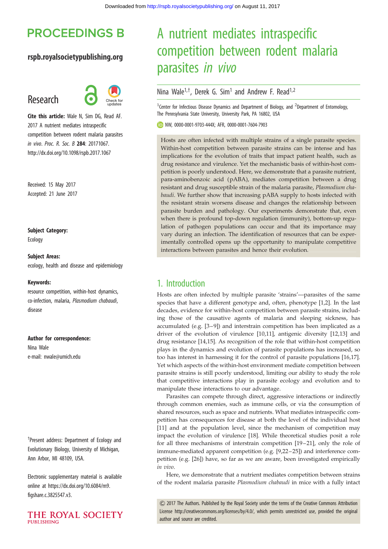# **PROCEEDINGS B**

## rspb.royalsocietypublishing.org

## Research



Cite this article: Wale N, Sim DG, Read AF. 2017 A nutrient mediates intraspecific competition between rodent malaria parasites in vivo. Proc. R. Soc. B 284: 20171067. http://dx.doi.org/10.1098/rspb.2017.1067

Received: 15 May 2017 Accepted: 21 June 2017

Subject Category:

Ecology

#### Subject Areas:

ecology, health and disease and epidemiology

#### Keywords:

resource competition, within-host dynamics, co-infection, malaria, Plasmodium chabaudi, disease

#### Author for correspondence:

Nina Wale e-mail: [nwale@umich.edu](mailto:nwale@umich.edu)

† Present address: Department of Ecology and Evolutionary Biology, University of Michigan, Ann Arbor, MI 48109, USA.

Electronic supplementary material is available online at [https://dx.doi.org/10.6084/m9.](https://dx.doi.org/10.6084/m9.figshare.c.3825547.v3) [figshare.c.3825547.v3.](https://dx.doi.org/10.6084/m9.figshare.c.3825547.v3)



# A nutrient mediates intraspecific competition between rodent malaria parasites in vivo

## Nina Wale<sup>1,†</sup>, Derek G. Sim<sup>1</sup> and Andrew F. Read<sup>1,2</sup>

<sup>1</sup> Center for Infectious Disease Dynamics and Department of Biology, and <sup>2</sup> Department of Entomology, The Pennsylvania State University, University Park, PA 16802, USA

NW, [0000-0001-9703-444X](http://orcid.org/0000-0001-9703-444X); AFR, [0000-0001-7604-7903](http://orcid.org/0000-0001-7604-7903)

Hosts are often infected with multiple strains of a single parasite species. Within-host competition between parasite strains can be intense and has implications for the evolution of traits that impact patient health, such as drug resistance and virulence. Yet the mechanistic basis of within-host competition is poorly understood. Here, we demonstrate that a parasite nutrient, para-aminobenzoic acid (pABA), mediates competition between a drug resistant and drug susceptible strain of the malaria parasite, Plasmodium chabaudi. We further show that increasing pABA supply to hosts infected with the resistant strain worsens disease and changes the relationship between parasite burden and pathology. Our experiments demonstrate that, even when there is profound top-down regulation (immunity), bottom-up regulation of pathogen populations can occur and that its importance may vary during an infection. The identification of resources that can be experimentally controlled opens up the opportunity to manipulate competitive interactions between parasites and hence their evolution.

## 1. Introduction

Hosts are often infected by multiple parasite 'strains'—parasites of the same species that have a different genotype and, often, phenotype [\[1,2](#page-6-0)]. In the last decades, evidence for within-host competition between parasite strains, including those of the causative agents of malaria and sleeping sickness, has accumulated (e.g. [\[3](#page-6-0)–[9](#page-6-0)]) and interstrain competition has been implicated as a driver of the evolution of virulence [\[10,11](#page-6-0)], antigenic diversity [[12,13](#page-6-0)] and drug resistance [[14,15](#page-6-0)]. As recognition of the role that within-host competition plays in the dynamics and evolution of parasite populations has increased, so too has interest in harnessing it for the control of parasite populations [\[16](#page-6-0),[17\]](#page-6-0). Yet which aspects of the within-host environment mediate competition between parasite strains is still poorly understood, limiting our ability to study the role that competitive interactions play in parasite ecology and evolution and to manipulate these interactions to our advantage.

Parasites can compete through direct, aggressive interactions or indirectly through common enemies, such as immune cells, or via the consumption of shared resources, such as space and nutrients. What mediates intraspecific competition has consequences for disease at both the level of the individual host [[11\]](#page-6-0) and at the population level, since the mechanism of competition may impact the evolution of virulence [\[18](#page-6-0)]. While theoretical studies posit a role for all three mechanisms of interstrain competition [\[19](#page-6-0)–[21\]](#page-6-0), only the role of immune-mediated apparent competition (e.g. [[9,22](#page-6-0)–[25\]](#page-6-0)) and interference competition (e.g. [\[26](#page-6-0)]) have, so far as we are aware, been investigated empirically in vivo.

Here, we demonstrate that a nutrient mediates competition between strains of the rodent malaria parasite Plasmodium chabaudi in mice with a fully intact

& 2017 The Authors. Published by the Royal Society under the terms of the Creative Commons Attribution License [http://creativecommons.org/licenses/by/4.0/, which permits unrestricted use, provided the original](http://creativecommons.org/licenses/by/4.0/) [author and source are credited.](http://creativecommons.org/licenses/by/4.0/)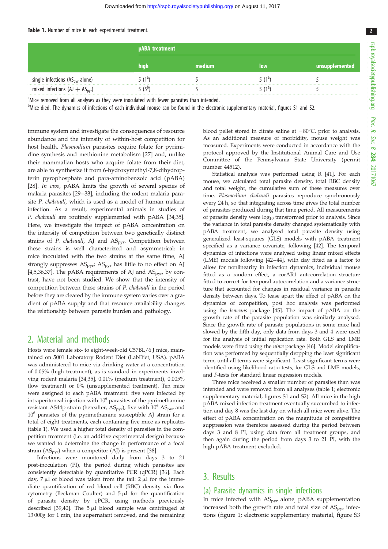#### <span id="page-1-0"></span>Table 1. Number of mice in each experimental treatment.

|                                      | pABA treatment |      |        |                |
|--------------------------------------|----------------|------|--------|----------------|
|                                      | nıan           | dium | low    | unsupplemented |
| single infections $(AS_{pyr}$ alone) |                |      | 5 (1ª) |                |
| mixed infections $(AJ + ASpyr)$      |                |      |        |                |

<sup>a</sup>Mice removed from all analyses as they were inoculated with fewer parasites than intended.

b<br>Mice died. The dynamics of infections of each individual mouse can be found in the electronic supplementary material, figures S1 and S2.

immune system and investigate the consequences of resource abundance and the intensity of within-host competition for host health. Plasmodium parasites require folate for pyrimidine synthesis and methionine metabolism [\[27](#page-6-0)] and, unlike their mammalian hosts who acquire folate from their diet, are able to synthesize it from 6-hydroxymethyl-7,8-dihydropterin pyrophosphate and para-aminobenzoic acid (pABA) [\[28](#page-6-0)]. In vivo, pABA limits the growth of several species of malaria parasites [\[29](#page-6-0)–[33\]](#page-6-0), including the rodent malaria parasite P. chabaudi, which is used as a model of human malaria infection. As a result, experimental animals in studies of P. chabaudi are routinely supplemented with pABA [[34,35](#page-6-0)]. Here, we investigate the impact of pABA concentration on the intensity of competition between two genetically distinct strains of P. chabaudi, AJ and  $AS<sub>ovr</sub>$ . Competition between these strains is well characterized and asymmetrical: in mice inoculated with the two strains at the same time, AJ strongly suppresses  $AS<sub>pyr</sub>$ ;  $AS<sub>pyr</sub>$  has little to no effect on AJ [\[4,5,36,37\]](#page-6-0). The pABA requirements of AJ and  $AS<sub>ovry</sub>$  by contrast, have not been studied. We show that the intensity of competition between these strains of P. chabaudi in the period before they are cleared by the immune system varies over a gradient of pABA supply and that resource availability changes the relationship between parasite burden and pathology.

## 2. Material and methods

Hosts were female six- to eight-week-old C57BL/6 J mice, maintained on 5001 Laboratory Rodent Diet (LabDiet, USA). pABA was administered to mice via drinking water at a concentration of 0.05% (high treatment), as is standard in experiments involving rodent malaria [\[34,35](#page-6-0)], 0.01% (medium treatment), 0.005% (low treatment) or 0% (unsupplemented treatment). Ten mice were assigned to each pABA treatment: five were infected by intraperitoneal injection with  $10<sup>6</sup>$  parasites of the pyrimethamine resistant AS44p strain (hereafter,  $AS<sub>pyr</sub>$ ), five with  $10^6$   $AS<sub>pyr</sub>$  and  $10<sup>6</sup>$  parasites of the pyrimethamine susceptible AJ strain for a total of eight treatments, each containing five mice as replicates (table 1). We used a higher total density of parasites in the competition treatment (i.e. an additive experimental design) because we wanted to determine the change in performance of a focal strain  $(AS<sub>pyr</sub>)$  when a competitor  $(AJ)$  is present [[38](#page-6-0)].

Infections were monitored daily from days 3 to 21 post-inoculation (PI), the period during which parasites are consistently detectable by quantitative PCR (qPCR) [\[36\]](#page-6-0). Each day,  $7 \mu l$  of blood was taken from the tail:  $2 \mu l$  for the immediate quantification of red blood cell (RBC) density via flow cytometry (Beckman Coulter) and  $5 \mu l$  for the quantification of parasite density by qPCR, using methods previously described [[39,40\]](#page-6-0). The  $5 \mu l$  blood sample was centrifuged at 13 000g for 1 min, the supernatant removed, and the remaining blood pellet stored in citrate saline at  $-80^{\circ}$ C, prior to analysis. As an additional measure of morbidity, mouse weight was measured. Experiments were conducted in accordance with the protocol approved by the Institutional Animal Care and Use Committee of the Pennsylvania State University (permit number 44512).

Statistical analysis was performed using R [\[41\]](#page-6-0). For each mouse, we calculated total parasite density, total RBC density and total weight, the cumulative sum of these measures over time. Plasmodium chabaudi parasites reproduce synchronously every 24 h, so that integrating across time gives the total number of parasites produced during that time period. All measurements of parasite density were  $log_{10}$  transformed prior to analysis. Since the variance in total parasite density changed systematically with pABA treatment, we analysed total parasite density using generalized least-squares (GLS) models with pABA treatment specified as a variance covariate, following [\[42\]](#page-6-0). The temporal dynamics of infections were analysed using linear mixed effects (LME) models following [\[42](#page-6-0)–[44\]](#page-6-0), with day fitted as a factor to allow for nonlinearity in infection dynamics, individual mouse fitted as a random effect, a corAR1 autocorrelation structure fitted to correct for temporal autocorrelation and a variance structure that accounted for changes in residual variance in parasite density between days. To tease apart the effect of pABA on the dynamics of competition, post hoc analysis was performed using the lsmeans package [\[45\]](#page-7-0). The impact of pABA on the growth rate of the parasite population was similarly analysed. Since the growth rate of parasite populations in some mice had slowed by the fifth day, only data from days 3 and 4 were used for the analysis of initial replication rate. Both GLS and LME models were fitted using the nlme package [\[46](#page-7-0)]. Model simplification was performed by sequentially dropping the least significant term, until all terms were significant. Least significant terms were identified using likelihood ratio tests, for GLS and LME models, and F-tests for standard linear regression models.

Three mice received a smaller number of parasites than was intended and were removed from all analyses (table 1; electronic supplementary material, figures S1 and S2). All mice in the high pABA mixed infection treatment eventually succumbed to infection and day 8 was the last day on which all mice were alive. The effect of pABA concentration on the magnitude of competitive suppression was therefore assessed during the period between days 3 and 8 PI, using data from all treatment groups, and then again during the period from days 3 to 21 PI, with the high pABA treatment excluded.

## 3. Results

## (a) Parasite dynamics in single infections

In mice infected with AS<sub>pyr</sub> alone, pABA supplementation increased both the growth rate and total size of  $AS<sub>pyr</sub>$  infections [\(figure 1](#page-2-0); electronic supplementary material, figure S3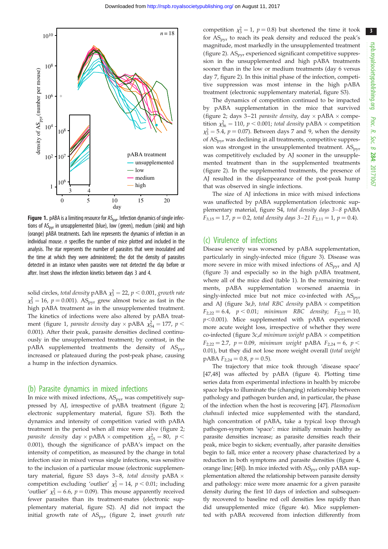3

<span id="page-2-0"></span>

Figure 1. pABA is a limiting resource for  $AS<sub>pyr</sub>$ . Infection dynamics of single infections of  $AS<sub>nvr</sub>$  in unsupplemented (blue), low (green), medium (pink) and high (orange) pABA treatments. Each line represents the dynamics of infection in an individual mouse.  $n$  specifies the number of mice plotted and included in the analysis. The star represents the number of parasites that were inoculated and the time at which they were administered; the dot the density of parasites detected in an instance when parasites were not detected the day before or after. Inset shows the infection kinetics between days 3 and 4.

solid circles, total density pABA  $\chi^2$  = 22, p < 0.001, growth rate  $\chi^2$  = 16, p = 0.001). AS<sub>pyr</sub> grew almost twice as fast in the high pABA treatment as in the unsupplemented treatment. The kinetics of infections were also altered by pABA treatment (figure 1, *parasite density* day  $\times$  pABA  $\chi^2_{54} = 177$ ,  $p$   $<$ 0.001). After their peak, parasite densities declined continuously in the unsupplemented treatment; by contrast, in the  $pABA$  supplemented treatments the density of  $AS<sub>pvr</sub>$ increased or plateaued during the post-peak phase, causing a hump in the infection dynamics.

### (b) Parasite dynamics in mixed infections

In mice with mixed infections,  $AS<sub>pyr</sub>$  was competitively suppressed by AJ, irrespective of pABA treatment ([figure 2](#page-3-0); electronic supplementary material, figure S3). Both the dynamics and intensity of competition varied with pABA treatment in the period when all mice were alive [\(figure 2](#page-3-0); parasite density day  $\times$  pABA  $\times$  competition  $\chi^2_{15} = 80$ ,  $p <$ 0.001), though the significance of pABA's impact on the intensity of competition, as measured by the change in total infection size in mixed versus single infections, was sensitive to the inclusion of a particular mouse (electronic supplementary material, figure S3 days 3–8, *total density*  $pABA \times$ competition excluding 'outlier'  $\chi_3^2 = 14$ ,  $p < 0.01$ ; including 'outlier'  $\chi_3^2 = 6.6$ ,  $p = 0.09$ ). This mouse apparently received fewer parasites than its treatment-mates (electronic supplementary material, figure S2). AJ did not impact the initial growth rate of  $AS<sub>pyr</sub>$  [\(figure 2,](#page-3-0) inset growth rate

competition  $\chi_3^2 = 1$ ,  $p = 0.8$ ) but shortened the time it took for  $AS<sub>pyr</sub>$  to reach its peak density and reduced the peak's magnitude, most markedly in the unsupplemented treatment ([figure 2\)](#page-3-0).  $AS<sub>pyr</sub>$  experienced significant competitive suppression in the unsupplemented and high pABA treatments sooner than in the low or medium treatments (day 6 versus day 7, [figure 2\)](#page-3-0). In this initial phase of the infection, competitive suppression was most intense in the high pABA treatment (electronic supplementary material, figure S3).

The dynamics of competition continued to be impacted by pABA supplementation in the mice that survived ([figure 2;](#page-3-0) days 3–21 *parasite density*, day  $\times$  pABA  $\times$  competition  $\chi^2_{36} = 110$ ,  $p < 0.001$ ; total density pABA  $\times$  competition  $\chi_3^2 = 5.4$ ,  $p = 0.07$ ). Between days 7 and 9, when the density of ASpyr was declining in all treatments, competitive suppression was strongest in the unsupplemented treatment.  $AS<sub>ovr</sub>$ was competitively excluded by AJ sooner in the unsupplemented treatment than in the supplemented treatments ([figure 2\)](#page-3-0). In the supplemented treatments, the presence of AJ resulted in the disappearance of the post-peak hump that was observed in single infections.

The size of AJ infections in mice with mixed infections was unaffected by pABA supplementation (electronic supplementary material, figure S4, total density days 3-8 pABA  $F_{3,15} = 1.7$ ,  $p = 0.2$ , total density days 3-21  $F_{2,11} = 1$ ,  $p = 0.4$ ).

## (c) Virulence of infections

Disease severity was worsened by pABA supplementation, particularly in singly-infected mice ([figure 3](#page-4-0)). Disease was more severe in mice with mixed infections of  $AS<sub>ovr</sub>$  and AJ ([figure 3\)](#page-4-0) and especially so in the high pABA treatment, where all of the mice died ([table 1\)](#page-1-0). In the remaining treatments, pABA supplementation worsened anaemia in singly-infected mice but not mice co-infected with  $AS<sub>ovr</sub>$ and AJ (figure  $3a,b$ , total RBC density  $pABA \times$  competition  $F_{2,22} = 6.4$ ,  $p < 0.01$ ; minimum RBC density;  $F_{2,22} = 10$ ,  $p$ <0.001). Mice supplemented with pABA experienced more acute weight loss, irrespective of whether they were co-infected (figure  $3c$ ,d minimum weight pABA  $\times$  competition  $F_{2,22} = 2.7$ ,  $p = 0.09$ , minimum weight pABA  $F_{2,24} = 6$ ,  $p <$ 0.01), but they did not lose more weight overall (total weight pABA  $F_{2,24} = 0.8$ ,  $p = 0.5$ ).

The trajectory that mice took through 'disease space' [[47,48\]](#page-7-0) was affected by pABA [\(figure 4\)](#page-5-0). Plotting time series data from experimental infections in health by microbe space helps to illuminate the (changing) relationship between pathology and pathogen burden and, in particular, the phase of the infection when the host is recovering [[47\]](#page-7-0). Plasmodium chabaudi infected mice supplemented with the standard, high concentration of pABA, take a typical loop through pathogen-symptom 'space': mice initially remain healthy as parasite densities increase; as parasite densities reach their peak, mice begin to sicken; eventually, after parasite densities begin to fall, mice enter a recovery phase characterized by a reduction in both symptoms and parasite densities [\(figure 4](#page-5-0), orange line; [\[48\]](#page-7-0)). In mice infected with  $AS<sub>pyr</sub>$  only pABA supplementation altered the relationship between parasite density and pathology: mice were more anaemic for a given parasite density during the first 10 days of infection and subsequently recovered to baseline red cell densities less rapidly than did unsupplemented mice ([figure 4](#page-5-0)a). Mice supplemented with pABA recovered from infection differently from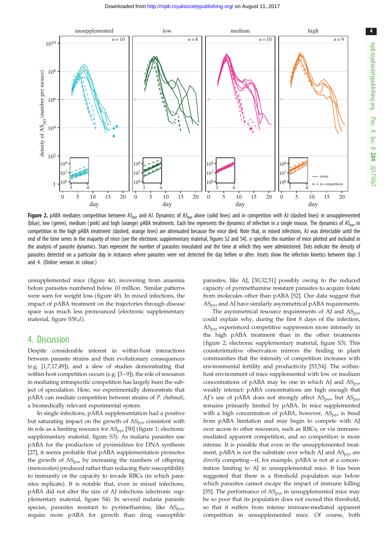<span id="page-3-0"></span>

Figure 2. pABA mediates competition between AS<sub>pyr</sub> and AJ. Dynamics of AS<sub>pyr</sub> alone (solid lines) and in competition with AJ (dashed lines) in unsupplemented (blue), low (green), medium (pink) and high (orange) pABA treatments. Each line represents the dynamics of infection in a single mouse. The dynamics of AS<sub>pyr</sub> in competition in the high pABA treatment (dashed, orange lines) are attenuated because the mice died. Note that, in mixed infections, AJ was detectable until the end of the time series in the majority of mice (see the electronic supplementary material, figures S2 and S4). n specifies the number of mice plotted and included in the analysis of parasite dynamics. Stars represent the number of parasites inoculated and the time at which they were administered. Dots indicate the density of parasites detected on a particular day in instances where parasites were not detected the day before or after. Insets show the infection kinetics between days 3 and 4. (Online version in colour.)

unsupplemented mice ([figure 4](#page-5-0)a), recovering from anaemia before parasites numbered below 10 million. Similar patterns were seen for weight loss [\(figure 4](#page-5-0)b). In mixed infections, the impact of pABA treatment on the trajectories through disease space was much less pronounced (electronic supplementary material, figure S5b,d).

## 4. Discussion

Despite considerable interest in within-host interactions between parasite strains and their evolutionary consequences (e.g. [\[1,7,17](#page-6-0)[,49\]](#page-7-0)), and a slew of studies demonstrating that within-host competition occurs (e.g. [\[3](#page-6-0)–[9](#page-6-0)]), the role of resources in mediating intraspecific competition has largely been the subject of speculation. Here, we experimentally demonstrate that pABA can mediate competition between strains of P. chabaudi, a biomedically relevant experimental system.

In single infections, pABA supplementation had a positive but saturating impact on the growth of  $AS<sub>pyr</sub>$  consistent with its role as a limiting resource for  $AS<sub>pyr</sub>$  [\[50](#page-7-0)] [\(figure 1](#page-2-0); electronic supplementary material, figure S3). As malaria parasites use pABA for the production of pyrimidines for DNA synthesis [\[27](#page-6-0)], it seems probable that pABA supplementation promotes the growth of  $AS<sub>ovr</sub>$  by increasing the numbers of offspring (merozoites) produced rather than reducing their susceptibility to immunity or the capacity to invade RBCs (in which parasites replicate). It is notable that, even in mixed infections, pABA did not alter the size of AJ infections (electronic supplementary material, figure S4). In several malaria parasite species, parasites resistant to pyrimethamine, like  $AS<sub>pyrr</sub>$ require more pABA for growth than drug susceptible parasites, like AJ, [[30](#page-6-0),[32](#page-6-0),[51](#page-7-0)] possibly owing to the reduced capacity of pyrimethamine resistant parasites to acquire folate from molecules other than pABA [[52](#page-7-0)]. Our data suggest that  $AS<sub>pyr</sub>$  and AJ have similarly asymmetrical pABA requirements.

The asymmetrical resource requirements of AJ and  $AS<sub>ovr</sub>$ could explain why, during the first 8 days of the infection,  $AS<sub>nyr</sub>$  experienced competitive suppression more intensely in the high pABA treatment than in the other treatments (figure 2; electronic supplementary material, figure S3). This counterintuitive observation mirrors the finding in plant communities that the intensity of competition increases with environmental fertility and productivity [[53](#page-7-0),[54](#page-7-0)]. The withinhost environment of mice supplemented with low or medium concentrations of pABA may be one in which AJ and  $AS<sub>pyr</sub>$ weakly interact: pABA concentrations are high enough that AJ's use of pABA does not strongly affect  $AS<sub>ovr</sub>$ , but  $AS<sub>ovr</sub>$ remains primarily limited by pABA. In mice supplemented with a high concentration of pABA, however,  $AS<sub>ovr</sub>$  is freed from pABA limitation and may begin to compete with AJ over access to other resources, such as RBCs, or via immunemediated apparent competition, and so competition is more intense. It is possible that even in the unsupplemented treatment, pABA is not the substrate over which AJ and  $AS<sub>pyr</sub>$  are directly competing—if, for example, pABA is not at a concentration limiting to AJ in unsupplemented mice. It has been suggested that there is a threshold population size below which parasites cannot escape the impact of immune killing [[55](#page-7-0)]. The performance of  $AS<sub>ovr</sub>$  in unsupplemented mice may be so poor that its population does not exceed this threshold, so that it suffers from intense immune-mediated apparent competition in unsupplemented mice. Of course, both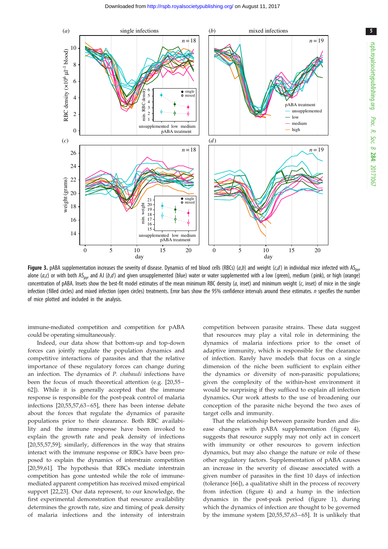<span id="page-4-0"></span>

**Figure 3.** pABA supplementation increases the severity of disease. Dynamics of red blood cells (RBCs) (a,b) and weight (c,d) in individual mice infected with AS<sub>pyr</sub> alone ( $a$ ,c) or with both AS<sub>pyr</sub> and AJ ( $b$ ,d) and given unsupplemented (blue) water or water supplemented with a low (green), medium (pink), or high (orange) concentration of pABA. Insets show the best-fit model estimates of the mean minimum RBC density  $(a, \text{ inset})$  and minimum weight  $(c, \text{ inset})$  of mice in the single infection (filled circles) and mixed infection (open circles) treatments. Error bars show the 95% confidence intervals around these estimates. *n* specifies the number of mice plotted and included in the analysis.

immune-mediated competition and competition for pABA could be operating simultaneously.

Indeed, our data show that bottom-up and top-down forces can jointly regulate the population dynamics and competitive interactions of parasites and that the relative importance of these regulatory forces can change during an infection. The dynamics of P. chabaudi infections have been the focus of much theoretical attention (e.g. [\[20,](#page-6-0)[55](#page-7-0) – [62\]](#page-7-0)). While it is generally accepted that the immune response is responsible for the post-peak control of malaria infections [[20](#page-6-0)[,55](#page-7-0),[57,63](#page-7-0) – [65](#page-7-0)], there has been intense debate about the forces that regulate the dynamics of parasite populations prior to their clearance. Both RBC availability and the immune response have been invoked to explain the growth rate and peak density of infections [[20,](#page-6-0)[55](#page-7-0),[57,59](#page-7-0)]; similarly, differences in the way that strains interact with the immune response or RBCs have been proposed to explain the dynamics of interstrain competition [\[20](#page-6-0),[59,61\]](#page-7-0). The hypothesis that RBCs mediate interstrain competition has gone untested while the role of immunemediated apparent competition has received mixed empirical support [[22,23](#page-6-0)]. Our data represent, to our knowledge, the first experimental demonstration that resource availability determines the growth rate, size and timing of peak density of malaria infections and the intensity of interstrain

competition between parasite strains. These data suggest that resources may play a vital role in determining the dynamics of malaria infections prior to the onset of adaptive immunity, which is responsible for the clearance of infection. Rarely have models that focus on a single dimension of the niche been sufficient to explain either the dynamics or diversity of non-parasitic populations; given the complexity of the within-host environment it would be surprising if they sufficed to explain all infection dynamics. Our work attests to the use of broadening our conception of the parasite niche beyond the two axes of target cells and immunity.

That the relationship between parasite burden and disease changes with pABA supplementation (figure 4), suggests that resource supply may not only act in concert with immunity or other resources to govern infection dynamics, but may also change the nature or role of these other regulatory factors. Supplementation of pABA causes an increase in the severity of disease associated with a given number of parasites in the first 10 days of infection (tolerance [[66](#page-7-0)]), a qualitative shift in the process of recovery from infection ( [figure 4\)](#page-5-0) and a hump in the infection dynamics in the post-peak period (figure 1), during which the dynamics of infection are thought to be governed by the immune system [[20](#page-6-0)[,55,57,63](#page-7-0) – [65](#page-7-0)]. It is unlikely that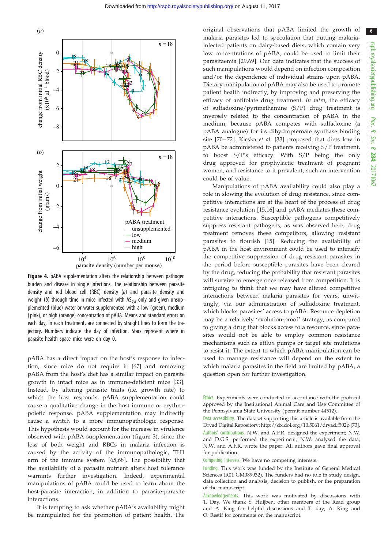<span id="page-5-0"></span>

Figure 4. pABA supplementation alters the relationship between pathogen burden and disease in single infections. The relationship between parasite density and red blood cell (RBC) density (a) and parasite density and weight (b) through time in mice infected with  $AS<sub>pyr</sub>$  only and given unsupplemented (blue) water or water supplemented with a low (green), medium ( pink), or high (orange) concentration of pABA. Means and standard errors on each day, in each treatment, are connected by straight lines to form the trajectory. Numbers indicate the day of infection. Stars represent where in parasite-health space mice were on day 0.

pABA has a direct impact on the host's response to infection, since mice do not require it [[67](#page-7-0)] and removing pABA from the host's diet has a similar impact on parasite growth in intact mice as in immune-deficient mice [[33](#page-6-0)]. Instead, by altering parasite traits (i.e. growth rate) to which the host responds, pABA supplementation could cause a qualitative change in the host immune or erythropoietic response. pABA supplementation may indirectly cause a switch to a more immunopathologic response. This hypothesis would account for the increase in virulence observed with pABA supplementation ( [figure 3\)](#page-4-0), since the loss of both weight and RBCs in malaria infection is caused by the activity of the immunopathologic, TH1 arm of the immune system [\[65,68](#page-7-0)]. The possibility that the availability of a parasite nutrient alters host tolerance warrants further investigation. Indeed, experimental manipulations of pABA could be used to learn about the host-parasite interaction, in addition to parasite-parasite interactions.

It is tempting to ask whether pABA's availability might be manipulated for the promotion of patient health. The original observations that pABA limited the growth of malaria parasites led to speculation that putting malariainfected patients on dairy-based diets, which contain very low concentrations of pABA, could be used to limit their parasitaemia [[29,](#page-6-0)[69](#page-7-0)]. Our data indicates that the success of such manipulations would depend on infection composition and/or the dependence of individual strains upon pABA. Dietary manipulation of pABA may also be used to promote patient health indirectly, by improving and preserving the efficacy of antifolate drug treatment. In vitro, the efficacy of sulfadoxine/pyrimethamine (S/P) drug treatment is inversely related to the concentration of pABA in the medium, because pABA competes with sulfadoxine (a pABA analogue) for its dihydropteroate synthase binding site [[70](#page-7-0)-72]. Kicska et al. [\[33\]](#page-6-0) proposed that diets low in pABA be administered to patients receiving S/P treatment, to boost S/P's efficacy. With S/P being the only drug approved for prophylactic treatment of pregnant women, and resistance to it prevalent, such an intervention could be of value.

Manipulations of pABA availability could also play a role in slowing the evolution of drug resistance, since competitive interactions are at the heart of the process of drug resistance evolution [[15,16](#page-6-0)] and pABA mediates these competitive interactions. Susceptible pathogens competitively suppress resistant pathogens, as was observed here; drug treatment removes these competitors, allowing resistant parasites to flourish [[15](#page-6-0)]. Reducing the availability of pABA in the host environment could be used to intensify the competitive suppression of drug resistant parasites in the period before susceptible parasites have been cleared by the drug, reducing the probability that resistant parasites will survive to emerge once released from competition. It is intriguing to think that we may have altered competitive interactions between malaria parasites for years, unwittingly, via our administration of sulfadoxine treatment, which blocks parasites' access to pABA. Resource depletion may be a relatively 'evolution-proof' strategy, as compared to giving a drug that blocks access to a resource, since parasites would not be able to employ common resistance mechanisms such as efflux pumps or target site mutations to resist it. The extent to which pABA manipulation can be used to manage resistance will depend on the extent to which malaria parasites in the field are limited by pABA, a question open for further investigation.

Ethics. Experiments were conducted in accordance with the protocol approved by the Institutional Animal Care and Use Committee of the Pennsylvania State University (permit number 44512).

Data accessibility. The dataset supporting this article is available from the Dryad Digital Repository:<http://dx.doi.org/10.5061/dryad.f502p> [\[73](#page-7-0)]. Authors' contributions. N.W. and A.F.R. designed the experiment; N.W. and D.G.S. performed the experiment; N.W. analysed the data; N.W. and A.F.R. wrote the paper. All authors gave final approval for publication.

Competing interests. We have no competing interests.

Funding. This work was funded by the Institute of General Medical Sciences (R01 GM089932). The funders had no role in study design, data collection and analysis, decision to publish, or the preparation of the manuscript.

Acknowledgements. This work was motivated by discussions with T. Day. We thank S. Huijben, other members of the Read group and A. King for helpful discussions and T. day, A. King and O. Restif for comments on the manuscript.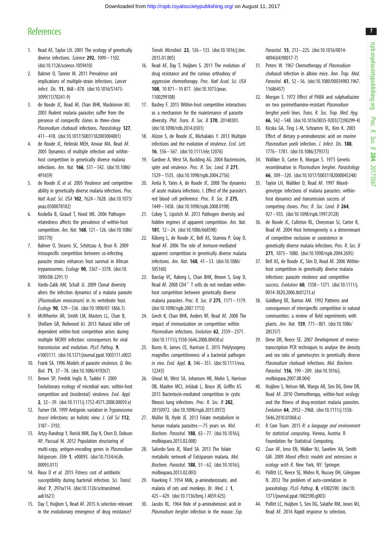## <span id="page-6-0"></span>**References**

- 1. Read AF, Taylor LH. 2001 The ecology of genetically diverse infections. Science 292, 1099-1102. [\(doi:10.1126/science.1059410\)](http://dx.doi.org/10.1126/science.1059410)
- 2. Balmer O, Tanner M. 2011 Prevalence and implications of multiple-strain infections. Lancet Infect. Dis. 11, 868– 878. ([doi:10.1016/S1473-](http://dx.doi.org/10.1016/S1473-3099(11)70241-9) [3099\(11\)70241-9\)](http://dx.doi.org/10.1016/S1473-3099(11)70241-9)
- 3. de Roode JC, Read AF, Chan BHK, Mackinnon MJ. 2003 Rodent malaria parasites suffer from the presence of conspecific clones in three-clone Plasmodium chabaudi infections. Parasitology 127, 411– 418. ([doi:10.1017/S0031182003004001](http://dx.doi.org/10.1017/S0031182003004001))
- 4. de Roode JC, Helinski MEH, Anwar MA, Read AF. 2005 Dynamics of multiple infection and withinhost competition in genetically diverse malaria infections. Am. Nat. 166, 531 – 542. [\(doi:10.1086/](http://dx.doi.org/10.1086/491659) [491659](http://dx.doi.org/10.1086/491659))
- 5. de Roode JC et al. 2005 Virulence and competitive ability in genetically diverse malaria infections. Proc. Natl Acad. Sci. USA 102, 7624– 7628. ([doi:10.1073/](http://dx.doi.org/10.1073/pnas.0500078102) [pnas.0500078102](http://dx.doi.org/10.1073/pnas.0500078102))
- 6. Koskella B, Giraud T, Hood ME. 2006 Pathogen relatedness affects the prevalence of within-host competition. Am. Nat. 168, 121 – 126. ([doi:10.1086/](http://dx.doi.org/10.1086/505770) [505770](http://dx.doi.org/10.1086/505770))
- 7. Balmer O, Stearns SC, Schötzau A, Brun R. 2009 Intraspecific competition between co-infecting parasite strains enhances host survival in African trypanosomes. Ecology 90, 3367– 3378. ([doi:10.](http://dx.doi.org/10.1890/08-2291.1) [1890/08-2291.1\)](http://dx.doi.org/10.1890/08-2291.1)
- 8. Vardo-Zalik AM, Schall JJ. 2009 Clonal diversity alters the infection dynamics of a malaria parasite (Plasmodium mexicanum) in its vertebrate host. Ecology 90, 529– 536. ([doi:10.1890/07-1866.1](http://dx.doi.org/10.1890/07-1866.1))
- 9. McWhorter AR, Smith LM, Masters LL, Chan B, Shellam GR, Redwood AJ. 2013 Natural killer cell dependent within-host competition arises during multiple MCMV infection: consequences for viral transmission and evolution. PLoS Pathog. 9, e1003111. ([doi:10.1371/journal.ppat.1003111.s002](http://dx.doi.org/10.1371/journal.ppat.1003111.s002))
- 10. Frank SA. 1996 Models of parasite virulence. Q. Rev. Biol. 71, 37 – 78. ([doi:10.1086/419267\)](http://dx.doi.org/10.1086/419267)
- 11. Brown SP, Fredrik Inglis R, Taddei F. 2009 Evolutionary ecology of microbial wars: within-host competition and (incidental) virulence. Evol. Appl. 2, 32 – 39. [\(doi:10.1111/j.1752-4571.2008.00059.x](http://dx.doi.org/10.1111/j.1752-4571.2008.00059.x))
- 12. Turner CM. 1999 Antigenic variation in Trypanosoma brucei infections: an holistic view. J. Cell Sci 112, 3187 – 3192.
- 13. Artzy-Randrup Y, Rorick MM, Day K, Chen D, Dobson AP, Pascual M. 2012 Population structuring of multi-copy, antigen-encoding genes in Plasmodium falciparum. Elife 1, e00093. [\(doi:10.7554/eLife.](http://dx.doi.org/10.7554/eLife.00093.011) [00093.011\)](http://dx.doi.org/10.7554/eLife.00093.011)
- 14. Roux D et al. 2015 Fitness cost of antibiotic susceptibility during bacterial infection. Sci. Transl. Med. 7, 297ra114. [\(doi:10.1126/scitranslmed.](http://dx.doi.org/10.1126/scitranslmed.aab1621) [aab1621\)](http://dx.doi.org/10.1126/scitranslmed.aab1621)
- 15. Day T, Huijben S, Read AF. 2015 Is selection relevant in the evolutionary emergence of drug resistance?

Trends Microbiol. 23, 126– 133. [\(doi:10.1016/j.tim.](http://dx.doi.org/10.1016/j.tim.2015.01.005) [2015.01.005\)](http://dx.doi.org/10.1016/j.tim.2015.01.005)

- 16. Read AF, Day T, Huijben S. 2011 The evolution of drug resistance and the curious orthodoxy of aggressive chemotherapy. Proc. Natl Acad. Sci. USA 108, 10 871– 10 877. [\(doi:10.1073/pnas.](http://dx.doi.org/10.1073/pnas.1100299108) [1100299108\)](http://dx.doi.org/10.1073/pnas.1100299108)
- 17. Bashey F. 2015 Within-host competitive interactions as a mechanism for the maintenance of parasite diversity. Phil. Trans. R. Soc. B 370, 20140301. [\(doi:10.1098/rstb.2014.0301](http://dx.doi.org/10.1098/rstb.2014.0301))
- 18. Alizon S, de Roode JC, Michalakis Y. 2013 Multiple infections and the evolution of virulence. Ecol. Lett. 16, 556– 567. ([doi:10.1111/ele.12076\)](http://dx.doi.org/10.1111/ele.12076)
- 19. Gardner A, West SA, Buckling AG. 2004 Bacteriocins, spite and virulence. Proc. R. Soc. Lond. B 271, 1529– 1535. [\(doi:10.1098/rspb.2004.2756\)](http://dx.doi.org/10.1098/rspb.2004.2756)
- 20. Antia R, Yates A, de Roode JC. 2008 The dynamics of acute malaria infections. I. Effect of the parasite's red blood cell preference. Proc. R. Soc. B 275, 1449– 1458. [\(doi:10.1098/rspb.2008.0198\)](http://dx.doi.org/10.1098/rspb.2008.0198)
- 21. Cobey S, Lipsitch M. 2013 Pathogen diversity and hidden regimes of apparent competition. Am. Nat. 181, 12 – 24. ([doi:10.1086/668598](http://dx.doi.org/10.1086/668598))
- 22. Råberg L, de Roode JC, Bell AS, Stamou P, Gray D, Read AF. 2006 The role of immune-mediated apparent competition in genetically diverse malaria infections. Am. Nat. 168, 41– 53. [\(doi:10.1086/](http://dx.doi.org/10.1086/505160) [505160](http://dx.doi.org/10.1086/505160))
- 23. Barclay VC, Raberg L, Chan BHK, Brown S, Gray D, Read AF. 2008 CD4<sup>+</sup> T cells do not mediate withinhost competition between genetically diverse malaria parasites. Proc. R. Soc. B 275, 1171 – 1179. [\(doi:10.1098/rspb.2007.1713\)](http://dx.doi.org/10.1098/rspb.2007.1713)
- 24. Grech K, Chan BHK, Anders RF, Read AF. 2008 The impact of immunization on competition within Plasmodium infections. Evolution 62, 2359-2371. [\(doi:10.1111/j.1558-5646.2008.00438.x\)](http://dx.doi.org/10.1111/j.1558-5646.2008.00438.x)
- 25. Burns N, James CE, Harrison E. 2015 Polylysogeny magnifies competitiveness of a bacterial pathogen in vivo. Evol. Appl. 8, 346– 351. [\(doi:10.1111/eva.](http://dx.doi.org/10.1111/eva.12243) [12243\)](http://dx.doi.org/10.1111/eva.12243)
- 26. Ghoul M, West SA, Johansen HK, Molin S, Harrison OB, Maiden MCJ, Jelsbak L, Bruce JB, Griffin AS. 2015 Bacteriocin-mediated competition in cystic fibrosis lung infections. Proc. R. Soc. B 282, 20150972. ([doi:10.1098/rspb.2015.0972\)](http://dx.doi.org/10.1098/rspb.2015.0972)
- 27. Müller IB, Hyde JE. 2013 Folate metabolism in human malaria parasites—75 years on. Mol. Biochem. Parasitol. 188, 63 – 77. ([doi:10.1016/j.](http://dx.doi.org/10.1016/j.molbiopara.2013.02.008) [molbiopara.2013.02.008](http://dx.doi.org/10.1016/j.molbiopara.2013.02.008))
- 28. Salcedo-Sora JE, Ward SA. 2013 The folate metabolic network of Falciparum malaria. Mol. Biochem. Parasitol. 188, 51 – 62. ([doi:10.1016/j.](http://dx.doi.org/10.1016/j.molbiopara.2013.02.003) [molbiopara.2013.02.003](http://dx.doi.org/10.1016/j.molbiopara.2013.02.003))
- 29. Hawking F. 1954 Milk, p-aminobenzoate, and malaria of rats and monkeys. Br. Med. J. 1, 425 – 429. [\(doi:10.1136/bmj.1.4859.425\)](http://dx.doi.org/10.1136/bmj.1.4859.425)
- 30. Jacobs RL. 1964 Role of p-aminobenzoic acid in Plasmodium berghei infection in the mouse. Exp.

Parasitol. **15**, 213-225. [\(doi:10.1016/0014-](http://dx.doi.org/10.1016/0014-4894(64)90017-7) [4894\(64\)90017-7](http://dx.doi.org/10.1016/0014-4894(64)90017-7))

- 31. Peters W. 1967 Chemotherapy of Plasmodium chabaudi infection in albino mice. Ann. Trop. Med. Parasitol. 61, 52 – 56. [\(doi:10.1080/00034983.1967.](http://dx.doi.org/10.1080/00034983.1967.11686457) [11686457\)](http://dx.doi.org/10.1080/00034983.1967.11686457)
- 32. Morgan S. 1972 Effect of PABA and sulphadiazine on two pyrimethamine-resistant Plasmodium berghei yoelii lines. Trans. R. Soc. Trop. Med. Hyg. 66, 542– 548. ([doi:10.1016/0035-9203\(72\)90299-4](http://dx.doi.org/10.1016/0035-9203(72)90299-4))
- 33. Kicska GA, Ting L-M, Schramm VL, Kim K. 2003 Effect of dietary p-aminobenzoic acid on murine Plasmodium yoelii infection. J. Infect. Dis. 188, 1776– 1781. ([doi:10.1086/379373\)](http://dx.doi.org/10.1086/379373)
- 34. Walliker D, Carter R, Morgan S. 1973 Genetic recombination in Plasmodium berghei. Parasitology 66, 309 – 320. [\(doi:10.1017/S0031182000045248](http://dx.doi.org/10.1017/S0031182000045248))
- 35. Taylor LH, Walliker D, Read AF. 1997 Mixedgenotype infections of malaria parasites: withinhost dynamics and transmission success of competing clones. Proc. R. Soc. Lond. B 264, 927– 935. [\(doi:10.1098/rspb.1997.0128\)](http://dx.doi.org/10.1098/rspb.1997.0128)
- 36. de Roode JC, Culleton RL, Cheesman SJ, Carter R, Read AF. 2004 Host heterogeneity is a determinant of competitive exclusion or coexistence in genetically diverse malaria infections. Proc. R. Soc. B 271, 1073– 1080. ([doi:10.1098/rspb.2004.2695\)](http://dx.doi.org/10.1098/rspb.2004.2695)
- 37. Bell AS, de Roode JC, Sim D, Read AF. 2006 Withinhost competition in genetically diverse malaria infections: parasite virulence and competitive success. Evolution **60**, 1358 - 1371. [\(doi:10.1111/j.](http://dx.doi.org/10.1111/j.0014-3820.2006.tb01215.x) [0014-3820.2006.tb01215.x](http://dx.doi.org/10.1111/j.0014-3820.2006.tb01215.x))
- 38. Goldberg DE, Barton AM. 1992 Patterns and consequences of interspecific competition in natural communities: a review of field experiments with plants. Am. Nat. 139, 771– 801. [\(doi:10.1086/](http://dx.doi.org/10.1086/285357) [285357\)](http://dx.doi.org/10.1086/285357)
- 39. Drew DR, Reece SE. 2007 Development of reversetranscription PCR techniques to analyse the density and sex ratio of gametocytes in genetically diverse Plasmodium chabaudi infections. Mol. Biochem. Parasitol. 156, 199-209. [\(doi:10.1016/j.](http://dx.doi.org/10.1016/j.molbiopara.2007.08.004) [molbiopara.2007.08.004](http://dx.doi.org/10.1016/j.molbiopara.2007.08.004))
- 40. Huijben S, Nelson WA, Wargo AR, Sim DG, Drew DR, Read AF. 2010 Chemotherapy, within-host ecology and the fitness of drug-resistant malaria parasites. Evolution 64, 2952– 2968. ([doi:10.1111/j.1558-](http://dx.doi.org/10.1111/j.1558-5646.2010.01068.x) [5646.2010.01068.x\)](http://dx.doi.org/10.1111/j.1558-5646.2010.01068.x)
- 41. R Core Team. 2015 R: a language and environment for statistical computing. Vienna, Austria: R Foundation for Statistical Computing.
- 42. Zuur AF, Ieno EN, Walker NJ, Saveliev AA, Smith GM. 2009 Mixed effects models and extensions in ecology with R. New York, NY: Springer.
- 43. Pollitt LC, Reece SE, Mideo N, Nussey DH, Colegrave N. 2012 The problem of auto-correlation in parasitology. PLoS Pathog. 8, e1002590. ([doi:10.](http://dx.doi.org/10.1371/journal.ppat.1002590.g003) [1371/journal.ppat.1002590.g003\)](http://dx.doi.org/10.1371/journal.ppat.1002590.g003)
- 44. Pollitt LC, Huijben S, Sim DG, Salathe RM, Jones MJ, Read AF. 2014 Rapid response to selection,